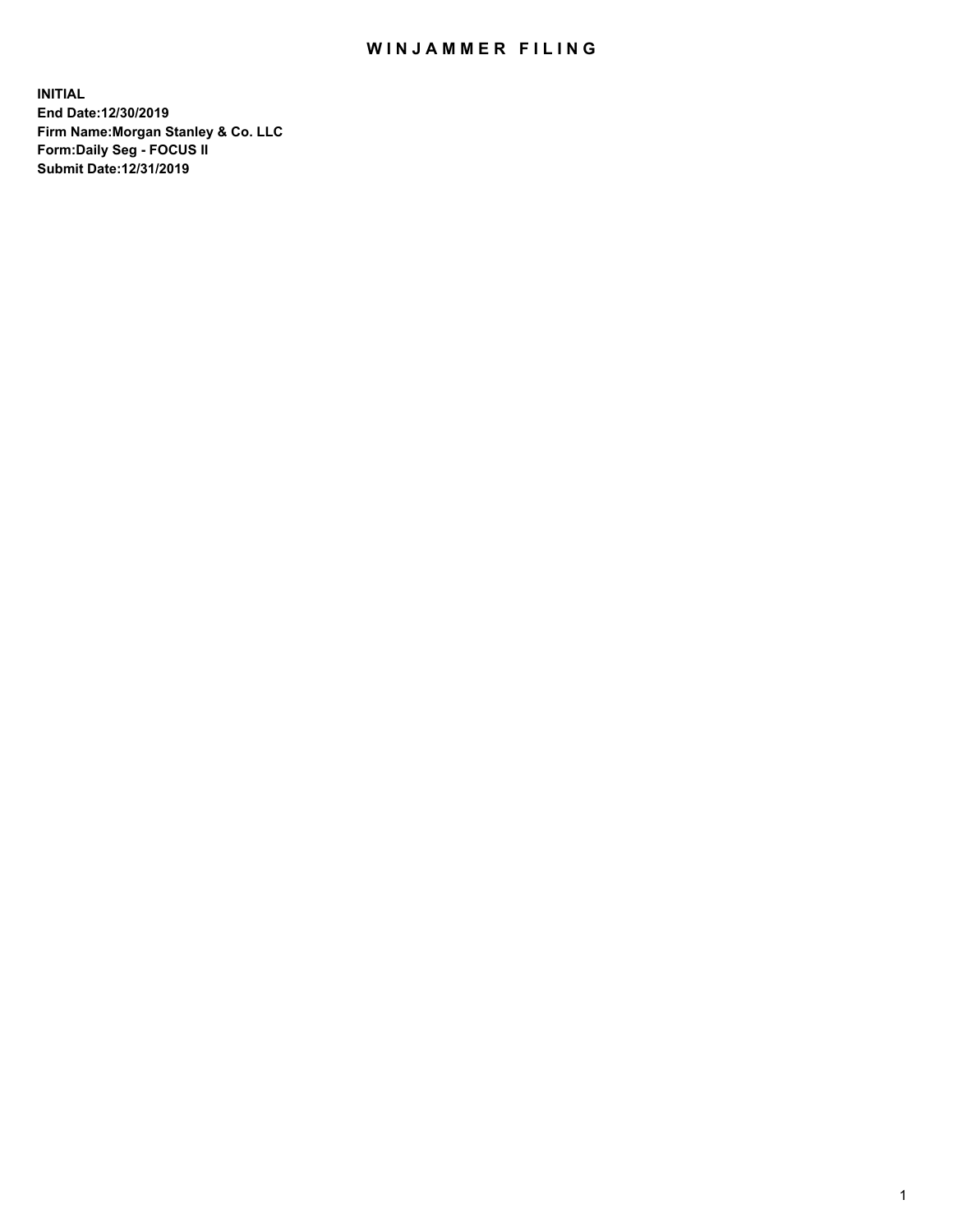## WIN JAMMER FILING

**INITIAL End Date:12/30/2019 Firm Name:Morgan Stanley & Co. LLC Form:Daily Seg - FOCUS II Submit Date:12/31/2019**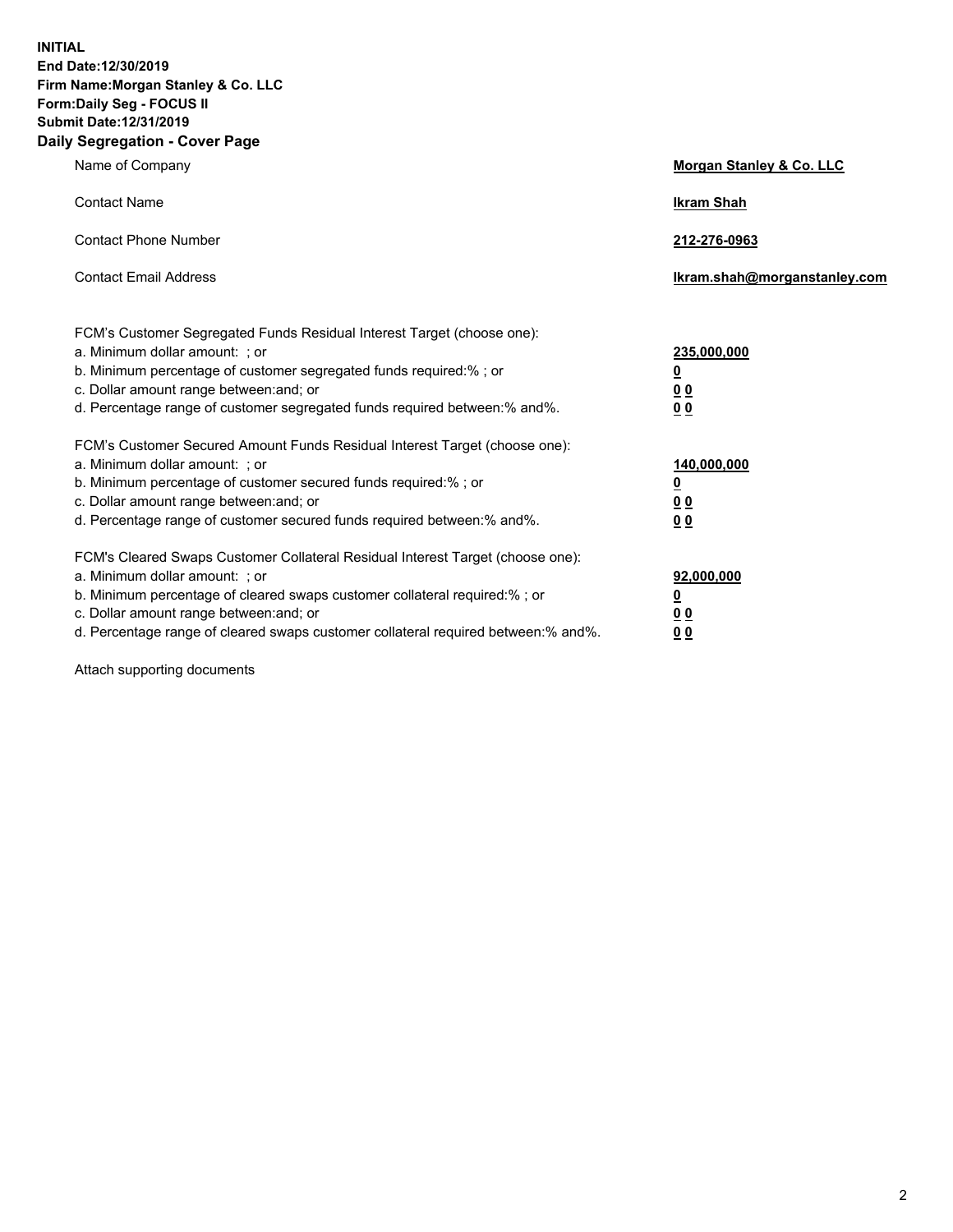**INITIAL End Date:12/30/2019 Firm Name:Morgan Stanley & Co. LLC Form:Daily Seg - FOCUS II Submit Date:12/31/2019 Daily Segregation - Cover Page**

| Name of Company                                                                                                                                                                                                                                                                                                                | Morgan Stanley & Co. LLC                                    |
|--------------------------------------------------------------------------------------------------------------------------------------------------------------------------------------------------------------------------------------------------------------------------------------------------------------------------------|-------------------------------------------------------------|
| <b>Contact Name</b>                                                                                                                                                                                                                                                                                                            | <b>Ikram Shah</b>                                           |
| <b>Contact Phone Number</b>                                                                                                                                                                                                                                                                                                    | 212-276-0963                                                |
| <b>Contact Email Address</b>                                                                                                                                                                                                                                                                                                   | lkram.shah@morganstanley.com                                |
| FCM's Customer Segregated Funds Residual Interest Target (choose one):<br>a. Minimum dollar amount: ; or<br>b. Minimum percentage of customer segregated funds required:% ; or<br>c. Dollar amount range between: and; or<br>d. Percentage range of customer segregated funds required between: % and %.                       | 235,000,000<br><u>0</u><br>0 <sub>0</sub><br>0 <sub>0</sub> |
| FCM's Customer Secured Amount Funds Residual Interest Target (choose one):<br>a. Minimum dollar amount: ; or<br>b. Minimum percentage of customer secured funds required:% ; or<br>c. Dollar amount range between: and; or<br>d. Percentage range of customer secured funds required between:% and%.                           | 140,000,000<br><u>0</u><br>0 <sub>0</sub><br>0 <sub>0</sub> |
| FCM's Cleared Swaps Customer Collateral Residual Interest Target (choose one):<br>a. Minimum dollar amount: ; or<br>b. Minimum percentage of cleared swaps customer collateral required:% ; or<br>c. Dollar amount range between: and; or<br>d. Percentage range of cleared swaps customer collateral required between:% and%. | 92,000,000<br><u>0</u><br><u>00</u><br>0 <sub>0</sub>       |

Attach supporting documents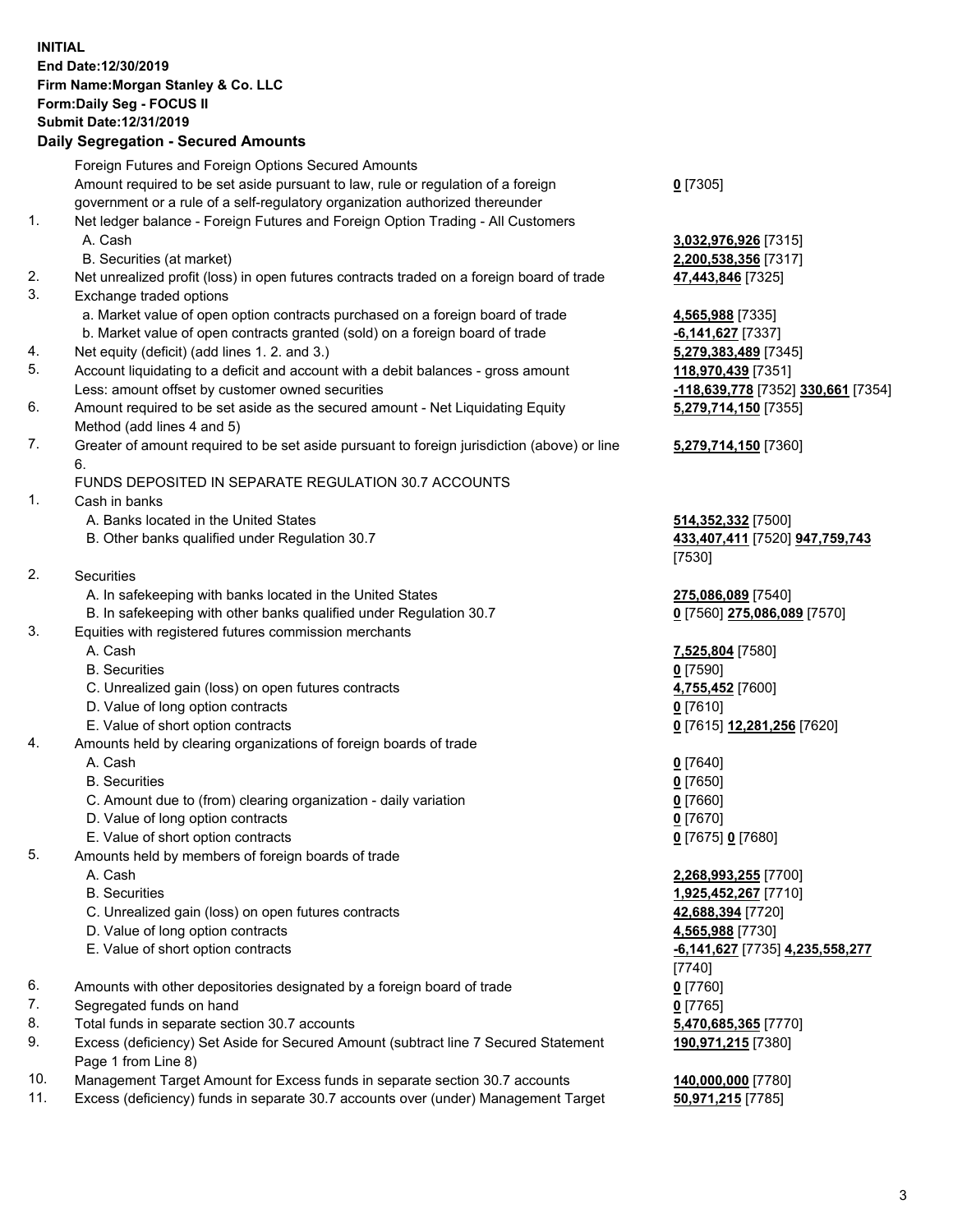## **INITIAL End Date:12/30/2019 Firm Name:Morgan Stanley & Co. LLC Form:Daily Seg - FOCUS II Submit Date:12/31/2019**

## **Daily Segregation - Secured Amounts**

|    | Foreign Futures and Foreign Options Secured Amounts                                         |                                              |
|----|---------------------------------------------------------------------------------------------|----------------------------------------------|
|    | Amount required to be set aside pursuant to law, rule or regulation of a foreign            | $0$ [7305]                                   |
|    | government or a rule of a self-regulatory organization authorized thereunder                |                                              |
| 1. | Net ledger balance - Foreign Futures and Foreign Option Trading - All Customers<br>A. Cash  |                                              |
|    | B. Securities (at market)                                                                   | 3,032,976,926 [7315]<br>2,200,538,356 [7317] |
| 2. | Net unrealized profit (loss) in open futures contracts traded on a foreign board of trade   | 47,443,846 [7325]                            |
| 3. | Exchange traded options                                                                     |                                              |
|    | a. Market value of open option contracts purchased on a foreign board of trade              | 4,565,988 [7335]                             |
|    | b. Market value of open contracts granted (sold) on a foreign board of trade                | $-6,141,627$ [7337]                          |
| 4. | Net equity (deficit) (add lines 1.2. and 3.)                                                | 5,279,383,489 [7345]                         |
| 5. | Account liquidating to a deficit and account with a debit balances - gross amount           | 118,970,439 [7351]                           |
|    | Less: amount offset by customer owned securities                                            | -118,639,778 [7352]                          |
| 6. | Amount required to be set aside as the secured amount - Net Liquidating Equity              | 5,279,714,150 [7355]                         |
|    | Method (add lines 4 and 5)                                                                  |                                              |
| 7. | Greater of amount required to be set aside pursuant to foreign jurisdiction (above) or line | 5,279,714,150 [7360]                         |
|    | 6.                                                                                          |                                              |
|    | FUNDS DEPOSITED IN SEPARATE REGULATION 30.7 ACCOUNTS                                        |                                              |
| 1. | Cash in banks                                                                               |                                              |
|    | A. Banks located in the United States                                                       | 514,352,332 [7500]                           |
|    | B. Other banks qualified under Regulation 30.7                                              | 433,407,411 [7520] 9                         |
|    |                                                                                             | [7530]                                       |
| 2. | Securities                                                                                  |                                              |
|    | A. In safekeeping with banks located in the United States                                   | 275,086,089 [7540]                           |
|    | B. In safekeeping with other banks qualified under Regulation 30.7                          | 0 [7560] 275,086,089                         |
| 3. | Equities with registered futures commission merchants                                       |                                              |
|    | A. Cash                                                                                     | 7,525,804 [7580]                             |
|    | <b>B.</b> Securities                                                                        | $0$ [7590]                                   |
|    | C. Unrealized gain (loss) on open futures contracts                                         | 4,755,452 [7600]                             |
|    | D. Value of long option contracts                                                           | $0$ [7610]                                   |
| 4. | E. Value of short option contracts                                                          | <u>0</u> [7615] <u>12,281,256</u> [          |
|    | Amounts held by clearing organizations of foreign boards of trade<br>A. Cash                |                                              |
|    | <b>B.</b> Securities                                                                        | $0$ [7640]<br>$0$ [7650]                     |
|    | C. Amount due to (from) clearing organization - daily variation                             | $0$ [7660]                                   |
|    | D. Value of long option contracts                                                           | $0$ [7670]                                   |
|    | E. Value of short option contracts                                                          | 0 [7675] 0 [7680]                            |
| 5. | Amounts held by members of foreign boards of trade                                          |                                              |
|    | A. Cash                                                                                     | 2,268,993,255 [7700]                         |
|    | <b>B.</b> Securities                                                                        | 1,925,452,267 [7710]                         |
|    | C. Unrealized gain (loss) on open futures contracts                                         | 42,688,394 [7720]                            |
|    | D. Value of long option contracts                                                           | 4,565,988 [7730]                             |
|    | E. Value of short option contracts                                                          | -6,141,627 [7735] 4,2                        |
|    |                                                                                             | [7740]                                       |
| 6. | Amounts with other depositories designated by a foreign board of trade                      | $0$ [7760]                                   |
| 7. | Segregated funds on hand                                                                    | $0$ [7765]                                   |
| 8. | Total funds in separate section 30.7 accounts                                               | 5,470,685,365 [7770]                         |
| 9. | Excess (deficiency) Set Aside for Secured Amount (subtract line 7 Secured Statement         | 190,971,215 [7380]                           |
|    | Page 1 from Line 8)                                                                         |                                              |
|    |                                                                                             |                                              |

- 10. Management Target Amount for Excess funds in separate section 30.7 accounts **140,000,000** [7780]
- 11. Excess (deficiency) funds in separate 30.7 accounts over (under) Management Target **50,971,215** [7785]

Less: amount offset by customer owned securities **-118,639,778** [7352] **330,661** [7354] **50** [7355]

## **50** [7360]

B. Other banks qualified under Regulation 30.7 **433,407,411** [7520] **947,759,743**

 $5,086,089$  [7570]

**281,256** [7620]

 E. Value of short option contracts **-6,141,627** [7735] **4,235,558,277 190,971,215** [7380]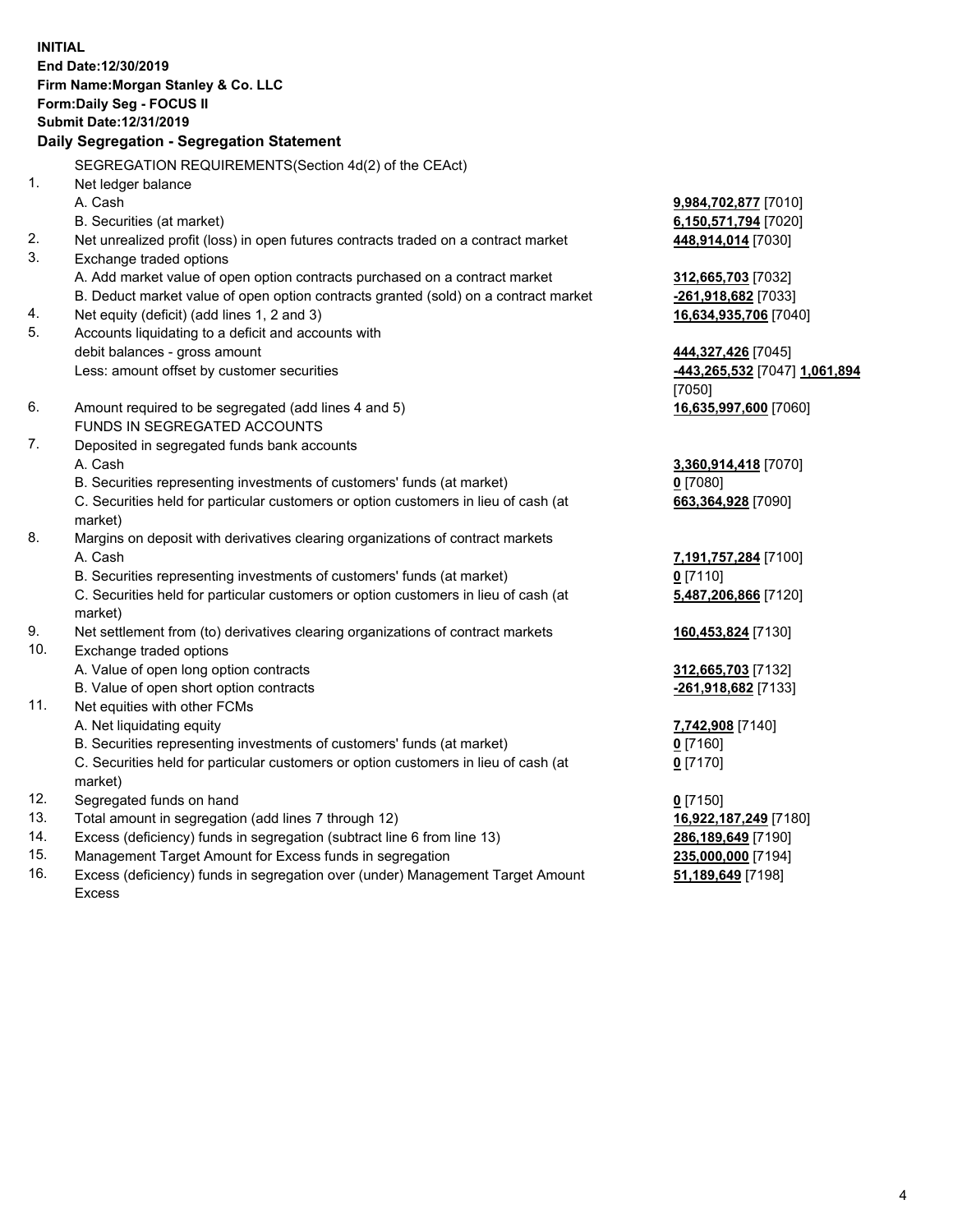**INITIAL End Date:12/30/2019 Firm Name:Morgan Stanley & Co. LLC Form:Daily Seg - FOCUS II Submit Date:12/31/2019 Daily Segregation - Segregation Statement** SEGREGATION REQUIREMENTS(Section 4d(2) of the CEAct) 1. Net ledger balance A. Cash **9,984,702,877** [7010] B. Securities (at market) **6,150,571,794** [7020] 2. Net unrealized profit (loss) in open futures contracts traded on a contract market **448,914,014** [7030] 3. Exchange traded options A. Add market value of open option contracts purchased on a contract market **312,665,703** [7032] B. Deduct market value of open option contracts granted (sold) on a contract market **-261,918,682** [7033] 4. Net equity (deficit) (add lines 1, 2 and 3) **16,634,935,706** [7040] 5. Accounts liquidating to a deficit and accounts with debit balances - gross amount **444,327,426** [7045] Less: amount offset by customer securities **-443,265,532** [7047] **1,061,894** [7050] 6. Amount required to be segregated (add lines 4 and 5) **16,635,997,600** [7060] FUNDS IN SEGREGATED ACCOUNTS 7. Deposited in segregated funds bank accounts A. Cash **3,360,914,418** [7070] B. Securities representing investments of customers' funds (at market) **0** [7080] C. Securities held for particular customers or option customers in lieu of cash (at market) **663,364,928** [7090] 8. Margins on deposit with derivatives clearing organizations of contract markets A. Cash **7,191,757,284** [7100] B. Securities representing investments of customers' funds (at market) **0** [7110] C. Securities held for particular customers or option customers in lieu of cash (at market) **5,487,206,866** [7120] 9. Net settlement from (to) derivatives clearing organizations of contract markets **160,453,824** [7130] 10. Exchange traded options A. Value of open long option contracts **312,665,703** [7132] B. Value of open short option contracts **-261,918,682** [7133] 11. Net equities with other FCMs A. Net liquidating equity **7,742,908** [7140] B. Securities representing investments of customers' funds (at market) **0** [7160] C. Securities held for particular customers or option customers in lieu of cash (at market) **0** [7170] 12. Segregated funds on hand **0** [7150] 13. Total amount in segregation (add lines 7 through 12) **16,922,187,249** [7180] 14. Excess (deficiency) funds in segregation (subtract line 6 from line 13) **286,189,649** [7190]

- 15. Management Target Amount for Excess funds in segregation **235,000,000** [7194]
- 16. Excess (deficiency) funds in segregation over (under) Management Target Amount Excess

**51,189,649** [7198]